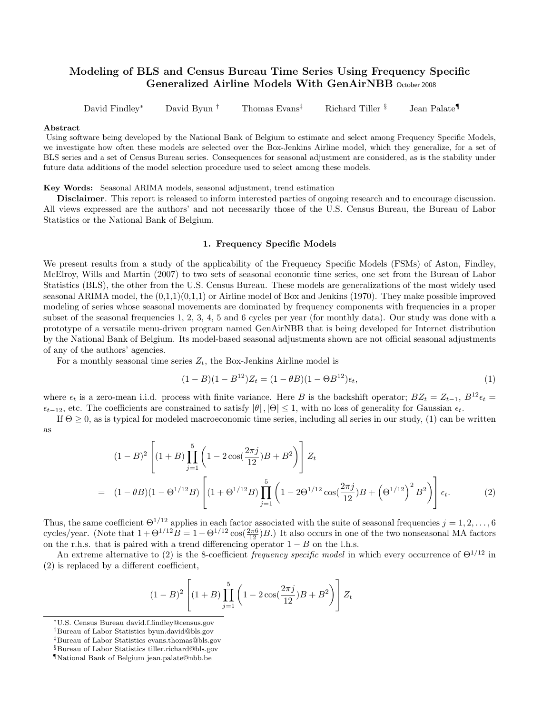# Modeling of BLS and Census Bureau Time Series Using Frequency Specific Generalized Airline Models With GenAirNBB October 2008

David Findley<sup>∗</sup> David Byun † Thomas Evans‡ Richard Tiller § Jean Palate¶

#### Abstract

Using software being developed by the National Bank of Belgium to estimate and select among Frequency Specific Models, we investigate how often these models are selected over the Box-Jenkins Airline model, which they generalize, for a set of BLS series and a set of Census Bureau series. Consequences for seasonal adjustment are considered, as is the stability under future data additions of the model selection procedure used to select among these models.

Key Words: Seasonal ARIMA models, seasonal adjustment, trend estimation

Disclaimer. This report is released to inform interested parties of ongoing research and to encourage discussion. All views expressed are the authors' and not necessarily those of the U.S. Census Bureau, the Bureau of Labor Statistics or the National Bank of Belgium.

# 1. Frequency Specific Models

We present results from a study of the applicability of the Frequency Specific Models (FSMs) of Aston, Findley, McElroy, Wills and Martin (2007) to two sets of seasonal economic time series, one set from the Bureau of Labor Statistics (BLS), the other from the U.S. Census Bureau. These models are generalizations of the most widely used seasonal ARIMA model, the  $(0,1,1)(0,1,1)$  or Airline model of Box and Jenkins (1970). They make possible improved modeling of series whose seasonal movements are dominated by frequency components with frequencies in a proper subset of the seasonal frequencies 1, 2, 3, 4, 5 and 6 cycles per year (for monthly data). Our study was done with a prototype of a versatile menu-driven program named GenAirNBB that is being developed for Internet distribution by the National Bank of Belgium. Its model-based seasonal adjustments shown are not official seasonal adjustments of any of the authors' agencies.

For a monthly seasonal time series  $Z_t$ , the Box-Jenkins Airline model is

$$
(1 - B)(1 - B12)Zt = (1 - \theta B)(1 - \Theta B12)\epsilont, \t\t(1)
$$

where  $\epsilon_t$  is a zero-mean i.i.d. process with finite variance. Here B is the backshift operator;  $BZ_t = Z_{t-1}$ ,  $B^{12}\epsilon_t =$  $\epsilon_{t-12}$ , etc. The coefficients are constrained to satisfy  $|\theta|, |\Theta| \leq 1$ , with no loss of generality for Gaussian  $\epsilon_t$ .

If  $\Theta \geq 0$ , as is typical for modeled macroeconomic time series, including all series in our study, (1) can be written as

$$
(1-B)^2 \left[ (1+B) \prod_{j=1}^5 \left( 1 - 2 \cos(\frac{2\pi j}{12})B + B^2 \right) \right] Z_t
$$
  
=  $(1-\theta B)(1-\Theta^{1/12}B) \left[ (1+\Theta^{1/12}B) \prod_{j=1}^5 \left( 1 - 2\Theta^{1/12} \cos(\frac{2\pi j}{12})B + \left(\Theta^{1/12}\right)^2 B^2 \right) \right] \epsilon_t.$  (2)

Thus, the same coefficient  $\Theta^{1/12}$  applies in each factor associated with the suite of seasonal frequencies  $j = 1, 2, \ldots, 6$ cycles/year. (Note that  $1 + \Theta^{1/12}B = 1 - \Theta^{1/12}\cos(\frac{2\pi 6}{12})B$ .) It also occurs in one of the two nonseasonal MA factors on the r.h.s. that is paired with a trend differencing operator  $1 - B$  on the l.h.s.

An extreme alternative to (2) is the 8-coefficient frequency specific model in which every occurrence of  $\Theta^{1/12}$  in (2) is replaced by a different coefficient,

$$
(1-B)^{2} \left[ (1+B) \prod_{j=1}^{5} \left( 1 - 2 \cos(\frac{2\pi j}{12})B + B^{2} \right) \right] Z_{t}
$$

<sup>∗</sup>U.S. Census Bureau david.f.findley@census.gov

<sup>†</sup>Bureau of Labor Statistics byun.david@bls.gov

<sup>‡</sup>Bureau of Labor Statistics evans.thomas@bls.gov

<sup>§</sup>Bureau of Labor Statistics tiller.richard@bls.gov

<sup>¶</sup>National Bank of Belgium jean.palate@nbb.be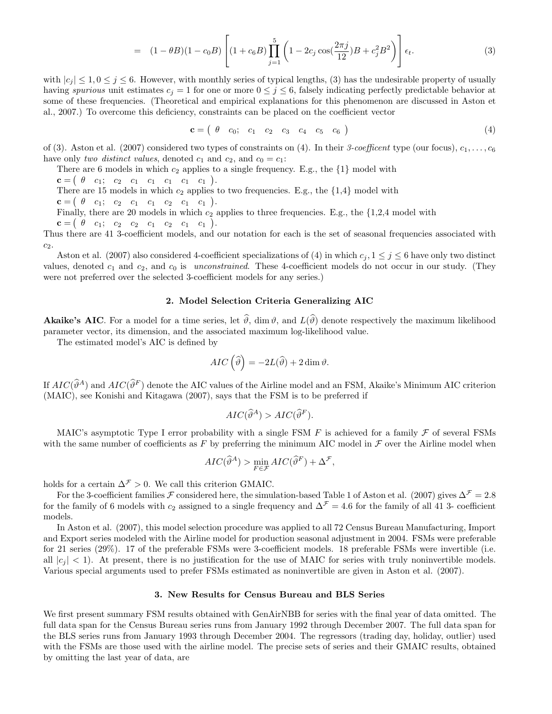$$
= (1 - \theta B)(1 - c_0 B) \left[ (1 + c_6 B) \prod_{j=1}^5 \left( 1 - 2c_j \cos(\frac{2\pi j}{12}) B + c_j^2 B^2 \right) \right] \epsilon_t.
$$
 (3)

with  $|c_i| \leq 1, 0 \leq j \leq 6$ . However, with monthly series of typical lengths, (3) has the undesirable property of usually having spurious unit estimates  $c_j = 1$  for one or more  $0 \leq j \leq 6$ , falsely indicating perfectly predictable behavior at some of these frequencies. (Theoretical and empirical explanations for this phenomenon are discussed in Aston et al., 2007.) To overcome this deficiency, constraints can be placed on the coefficient vector

$$
\mathbf{c} = ( \theta \ c_0; \ c_1 \ c_2 \ c_3 \ c_4 \ c_5 \ c_6 ) \tag{4}
$$

of (3). Aston et al. (2007) considered two types of constraints on (4). In their 3-coefficent type (our focus),  $c_1, \ldots, c_6$ have only two distinct values, denoted  $c_1$  and  $c_2$ , and  $c_0 = c_1$ :

There are 6 models in which  $c_2$  applies to a single frequency. E.g., the  $\{1\}$  model with

 ${\bf c} = ( \begin{array}{cccccc} \theta & c_1; & c_2 & c_1 & c_1 & c_1 & c_1 & c_1 \end{array} ).$ 

There are 15 models in which  $c_2$  applies to two frequencies. E.g., the  $\{1.4\}$  model with

$$
\mathbf{c} = \begin{pmatrix} \theta & c_1; & c_2 & c_1 & c_1 & c_2 & c_1 & c_1 \end{pmatrix}.
$$

Finally, there are 20 models in which  $c_2$  applies to three frequencies. E.g., the  $\{1,2,4 \text{ model with } c_2 \}$ 

$$
\mathbf{c} = \begin{pmatrix} \theta & c_1; & c_2 & c_2 & c_1 & c_2 & c_1 & c_1 \end{pmatrix}.
$$

Thus there are 41 3-coefficient models, and our notation for each is the set of seasonal frequencies associated with  $c_2$ .

Aston et al. (2007) also considered 4-coefficient specializations of (4) in which  $c_j$ ,  $1 \leq j \leq 6$  have only two distinct values, denoted  $c_1$  and  $c_2$ , and  $c_0$  is *unconstrained*. These 4-coefficient models do not occur in our study. (They were not preferred over the selected 3-coefficient models for any series.)

# 2. Model Selection Criteria Generalizing AIC

**Akaike's AIC**. For a model for a time series, let  $\hat{\theta}$ , dim  $\theta$ , and  $L(\hat{\theta})$  denote respectively the maximum likelihood parameter vector, its dimension, and the associated maximum log-likelihood value.

The estimated model's AIC is defined by

$$
AIC\left(\widehat{\vartheta}\right) = -2L(\widehat{\vartheta}) + 2\dim\vartheta.
$$

If  $AIC(\widehat{\vartheta}^A)$  and  $AIC(\widehat{\vartheta}^F)$  denote the AIC values of the Airline model and an FSM, Akaike's Minimum AIC criterion (MAIC), see Konishi and Kitagawa (2007), says that the FSM is to be preferred if

$$
AIC(\widehat{\vartheta}^A) > AIC(\widehat{\vartheta}^F).
$$

MAIC's asymptotic Type I error probability with a single FSM  $F$  is achieved for a family  $\mathcal F$  of several FSMs with the same number of coefficients as F by preferring the minimum AIC model in  $\mathcal F$  over the Airline model when

$$
AIC(\widehat{\vartheta}^A) > \min_{F \in \mathcal{F}} AIC(\widehat{\vartheta}^F) + \Delta^{\mathcal{F}},
$$

holds for a certain  $\Delta^{\mathcal{F}} > 0$ . We call this criterion GMAIC.

For the 3-coefficient families F considered here, the simulation-based Table 1 of Aston et al. (2007) gives  $\Delta^{\mathcal{F}} = 2.8$ for the family of 6 models with  $c_2$  assigned to a single frequency and  $\Delta^{\mathcal{F}} = 4.6$  for the family of all 41 3- coefficient models.

In Aston et al. (2007), this model selection procedure was applied to all 72 Census Bureau Manufacturing, Import and Export series modeled with the Airline model for production seasonal adjustment in 2004. FSMs were preferable for 21 series (29%). 17 of the preferable FSMs were 3-coefficient models. 18 preferable FSMs were invertible (i.e. all  $|c_i| < 1$ . At present, there is no justification for the use of MAIC for series with truly noninvertible models. Various special arguments used to prefer FSMs estimated as noninvertible are given in Aston et al. (2007).

# 3. New Results for Census Bureau and BLS Series

We first present summary FSM results obtained with GenAirNBB for series with the final year of data omitted. The full data span for the Census Bureau series runs from January 1992 through December 2007. The full data span for the BLS series runs from January 1993 through December 2004. The regressors (trading day, holiday, outlier) used with the FSMs are those used with the airline model. The precise sets of series and their GMAIC results, obtained by omitting the last year of data, are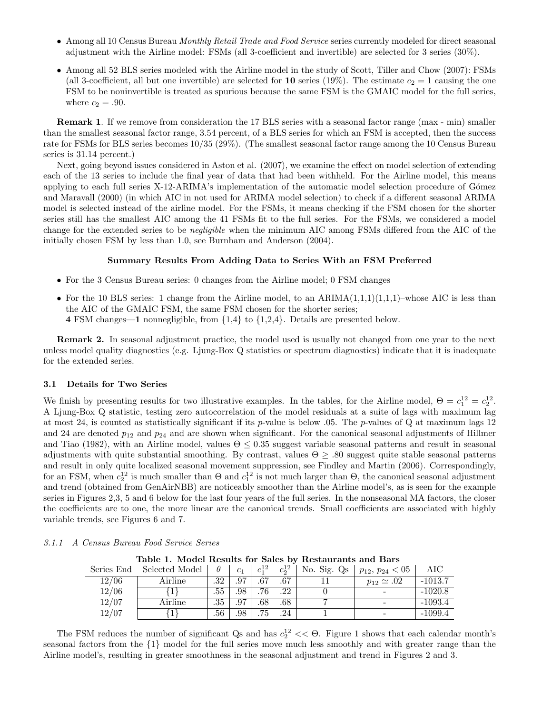- Among all 10 Census Bureau Monthly Retail Trade and Food Service series currently modeled for direct seasonal adjustment with the Airline model: FSMs (all 3-coefficient and invertible) are selected for 3 series (30%).
- Among all 52 BLS series modeled with the Airline model in the study of Scott, Tiller and Chow (2007): FSMs (all 3-coefficient, all but one invertible) are selected for **10** series (19%). The estimate  $c_2 = 1$  causing the one FSM to be noninvertible is treated as spurious because the same FSM is the GMAIC model for the full series, where  $c_2 = .90$ .

Remark 1. If we remove from consideration the 17 BLS series with a seasonal factor range (max - min) smaller than the smallest seasonal factor range, 3.54 percent, of a BLS series for which an FSM is accepted, then the success rate for FSMs for BLS series becomes 10/35 (29%). (The smallest seasonal factor range among the 10 Census Bureau series is 31.14 percent.)

Next, going beyond issues considered in Aston et al. (2007), we examine the effect on model selection of extending each of the 13 series to include the final year of data that had been withheld. For the Airline model, this means applying to each full series X-12-ARIMA's implementation of the automatic model selection procedure of Gómez and Maravall (2000) (in which AIC in not used for ARIMA model selection) to check if a different seasonal ARIMA model is selected instead of the airline model. For the FSMs, it means checking if the FSM chosen for the shorter series still has the smallest AIC among the 41 FSMs fit to the full series. For the FSMs, we considered a model change for the extended series to be negligible when the minimum AIC among FSMs differed from the AIC of the initially chosen FSM by less than 1.0, see Burnham and Anderson (2004).

# Summary Results From Adding Data to Series With an FSM Preferred

- For the 3 Census Bureau series: 0 changes from the Airline model; 0 FSM changes
- For the 10 BLS series: 1 change from the Airline model, to an  $ARIMA(1,1,1)(1,1,1)$ –whose AIC is less than the AIC of the GMAIC FSM, the same FSM chosen for the shorter series; 4 FSM changes—1 nonnegligible, from {1,4} to {1,2,4}. Details are presented below.

Remark 2. In seasonal adjustment practice, the model used is usually not changed from one year to the next unless model quality diagnostics (e.g. Ljung-Box Q statistics or spectrum diagnostics) indicate that it is inadequate for the extended series.

### 3.1 Details for Two Series

We finish by presenting results for two illustrative examples. In the tables, for the Airline model,  $\Theta = c_1^{12} = c_2^{12}$ . A Ljung-Box Q statistic, testing zero autocorrelation of the model residuals at a suite of lags with maximum lag at most 24, is counted as statistically significant if its p-value is below .05. The p-values of Q at maximum lags 12 and 24 are denoted  $p_{12}$  and  $p_{24}$  and are shown when significant. For the canonical seasonal adjustments of Hillmer and Tiao (1982), with an Airline model, values  $\Theta \leq 0.35$  suggest variable seasonal patterns and result in seasonal adjustments with quite substantial smoothing. By contrast, values  $\Theta \geq .80$  suggest quite stable seasonal patterns and result in only quite localized seasonal movement suppression, see Findley and Martin (2006). Correspondingly, for an FSM, when  $c_2^{12}$  is much smaller than  $\Theta$  and  $c_1^{12}$  is not much larger than  $\Theta$ , the canonical seasonal adjustment and trend (obtained from GenAirNBB) are noticeably smoother than the Airline model's, as is seen for the example series in Figures 2,3, 5 and 6 below for the last four years of the full series. In the nonseasonal MA factors, the closer the coefficients are to one, the more linear are the canonical trends. Small coefficients are associated with highly variable trends, see Figures 6 and 7.

| Table 1. Model Results for Sales by Restaurants and Bars |         |     |     |                                                       |         |  |                                                     |           |  |  |  |  |
|----------------------------------------------------------|---------|-----|-----|-------------------------------------------------------|---------|--|-----------------------------------------------------|-----------|--|--|--|--|
| Series End                                               |         |     |     | $\begin{array}{c} \left  c_1^{12}\right  \end{array}$ |         |  | $c_2^{12}$   No. Sig. Qs   $p_{12}$ , $p_{24}$ < 05 | AIC       |  |  |  |  |
| 12/06                                                    | Airline | .32 | .97 | .67                                                   | .67     |  | $p_{12} \simeq .02$                                 | $-1013.7$ |  |  |  |  |
| 12/06                                                    |         | .55 | .98 | .76                                                   | $.22\,$ |  |                                                     | $-1020.8$ |  |  |  |  |
| 12/07                                                    | Airline | .35 | .97 | .68                                                   | .68     |  |                                                     | $-1093.4$ |  |  |  |  |
| 12/07                                                    |         | .56 | .98 | .75                                                   | .24     |  |                                                     | $-1099.4$ |  |  |  |  |

3.1.1 A Census Bureau Food Service Series

Table 1. Model Results for Sale

The FSM reduces the number of significant Qs and has  $c_2^{12} << \Theta$ . Figure 1 shows that each calendar month's seasonal factors from the {1} model for the full series move much less smoothly and with greater range than the Airline model's, resulting in greater smoothness in the seasonal adjustment and trend in Figures 2 and 3.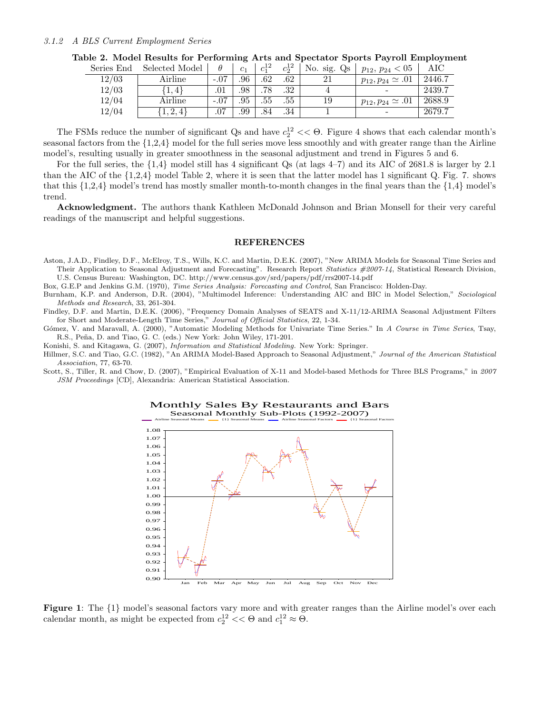## 3.1.2 A BLS Current Employment Series

| Series End | Selected Model |        | c <sub>1</sub> | $c_1^{12}$ | $c_2^{12}$ | No. sig. Qs | $p_{12}, p_{24} < 05$       | AIC             |
|------------|----------------|--------|----------------|------------|------------|-------------|-----------------------------|-----------------|
| 12/03      | Airline        | $-.07$ | .96            | .62        | .62        |             | $p_{12}, p_{24} \simeq .01$ | 2446.7          |
| 12/03      | . 4 }          | .01    | .98            | .78        | .32        |             |                             | $\sqrt{2439.7}$ |
| 12/04      | Airline        |        | .95            | .55        | .55        | 19          | $p_{12}, p_{24} \simeq .01$ | 2688.9          |
| 12/04      | 1, 2, 4        | .07    | .99            | .84        | .34        |             |                             | 2679.7          |

The FSMs reduce the number of significant Qs and have  $c_2^{12} << \Theta$ . Figure 4 shows that each calendar month's seasonal factors from the {1,2,4} model for the full series move less smoothly and with greater range than the Airline model's, resulting usually in greater smoothness in the seasonal adjustment and trend in Figures 5 and 6.

For the full series, the  $\{1,4\}$  model still has 4 significant Qs (at lags  $4-7$ ) and its AIC of 2681.8 is larger by 2.1 than the AIC of the {1,2,4} model Table 2, where it is seen that the latter model has 1 significant Q. Fig. 7. shows that this  $\{1,2,4\}$  model's trend has mostly smaller month-to-month changes in the final years than the  $\{1,4\}$  model's trend.

Acknowledgment. The authors thank Kathleen McDonald Johnson and Brian Monsell for their very careful readings of the manuscript and helpful suggestions.

#### REFERENCES

Aston, J.A.D., Findley, D.F., McElroy, T.S., Wills, K.C. and Martin, D.E.K. (2007), "New ARIMA Models for Seasonal Time Series and Their Application to Seasonal Adjustment and Forecasting". Research Report Statistics #2007-14, Statistical Research Division, U.S. Census Bureau: Washington, DC. http://www.census.gov/srd/papers/pdf/rrs2007-14.pdf

Box, G.E.P and Jenkins G.M. (1970), Time Series Analysis: Forecasting and Control, San Francisco: Holden-Day.

Burnham, K.P. and Anderson, D.R. (2004), "Multimodel Inference: Understanding AIC and BIC in Model Selection," Sociological Methods and Research, 33, 261-304.

Findley, D.F. and Martin, D.E.K. (2006), "Frequency Domain Analyses of SEATS and X-11/12-ARIMA Seasonal Adjustment Filters for Short and Moderate-Length Time Series," Journal of Official Statistics, 22, 1-34.

Gómez, V. and Maravall, A. (2000), "Automatic Modeling Methods for Univariate Time Series." In A Course in Time Series, Tsay, R.S., Peña, D. and Tiao, G. C. (eds.) New York: John Wiley, 171-201.

Konishi, S. and Kitagawa, G. (2007), Information and Statistical Modeling. New York: Springer.

Hillmer, S.C. and Tiao, G.C. (1982), "An ARIMA Model-Based Approach to Seasonal Adjustment," Journal of the American Statistical Association, 77, 63-70.

Scott, S., Tiller, R. and Chow, D. (2007), "Empirical Evaluation of X-11 and Model-based Methods for Three BLS Programs," in 2007 JSM Proceedings [CD], Alexandria: American Statistical Association.



Monthly Sales By Restaurants and Bars Seasonal Monthly Sub-Plots (1992-2007) Airline Seasonal Means {1} Seasonal Means Airline Seasonal Factors {1} Seasonal Factors

Figure 1: The {1} model's seasonal factors vary more and with greater ranges than the Airline model's over each calendar month, as might be expected from  $c_2^{12} << \Theta$  and  $c_1^{12} \approx \Theta$ .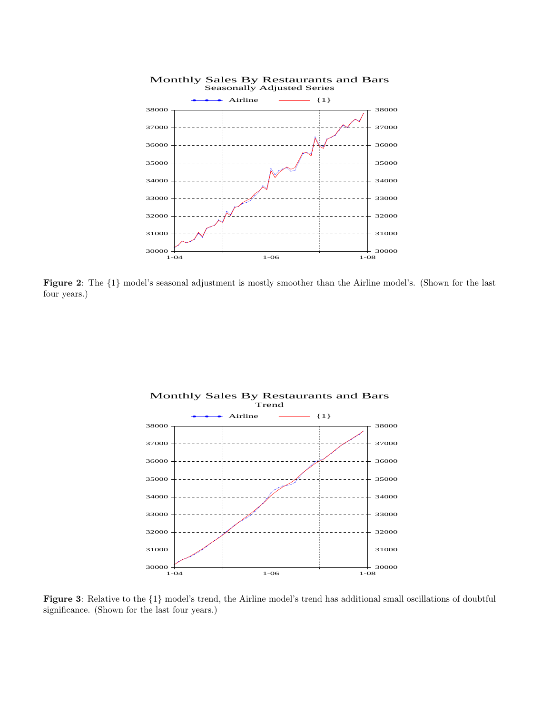

Figure 2: The {1} model's seasonal adjustment is mostly smoother than the Airline model's. (Shown for the last four years.)



Figure 3: Relative to the {1} model's trend, the Airline model's trend has additional small oscillations of doubtful significance. (Shown for the last four years.)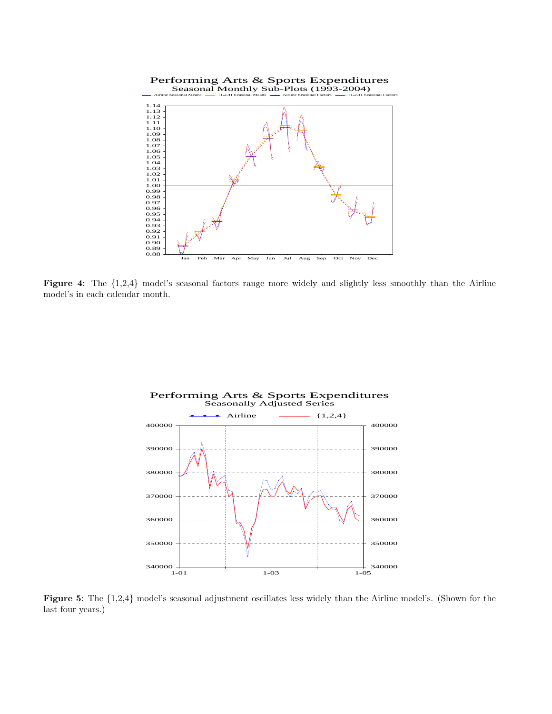

Figure 4: The  $\{1,2,4\}$  model's seasonal factors range more widely and slightly less smoothly than the Airline model's in each calendar month.



Figure 5: The {1,2,4} model's seasonal adjustment oscillates less widely than the Airline model's. (Shown for the last four years.)